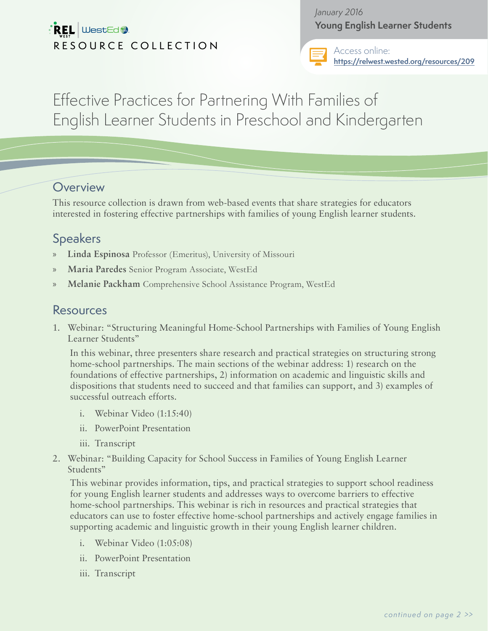# $\mathbb{R}$ EL WestEd RESOURCE COLLECTION

*January 2016* **Young English Learner Students**



Access online: **<https://relwest.wested.org/resources/209>**

Effective Practices for Partnering With Families of English Learner Students in Preschool and Kindergarten

#### **Overview**

This resource collection is drawn from web-based events that share strategies for educators interested in fostering effective partnerships with families of young English learner students.

# **Speakers**

- » **Linda Espinosa** Professor (Emeritus), University of Missouri
- » **Maria Paredes** Senior Program Associate, WestEd
- » **Melanie Packham** Comprehensive School Assistance Program, WestEd

## Resources

1. Webinar: "Structuring Meaningful Home-School Partnerships with Families of Young English Learner Students"

In this webinar, three presenters share research and practical strategies on structuring strong home-school partnerships. The main sections of the webinar address: 1) research on the foundations of effective partnerships, 2) information on academic and linguistic skills and dispositions that students need to succeed and that families can support, and 3) examples of successful outreach efforts.

- i. Webinar Video (1:15:40)
- ii. PowerPoint Presentation
- iii. Transcript
- 2. Webinar: "Building Capacity for School Success in Families of Young English Learner Students"

This webinar provides information, tips, and practical strategies to support school readiness for young English learner students and addresses ways to overcome barriers to effective home-school partnerships. This webinar is rich in resources and practical strategies that educators can use to foster effective home-school partnerships and actively engage families in supporting academic and linguistic growth in their young English learner children.

- i. Webinar Video (1:05:08)
- ii. PowerPoint Presentation
- iii. Transcript